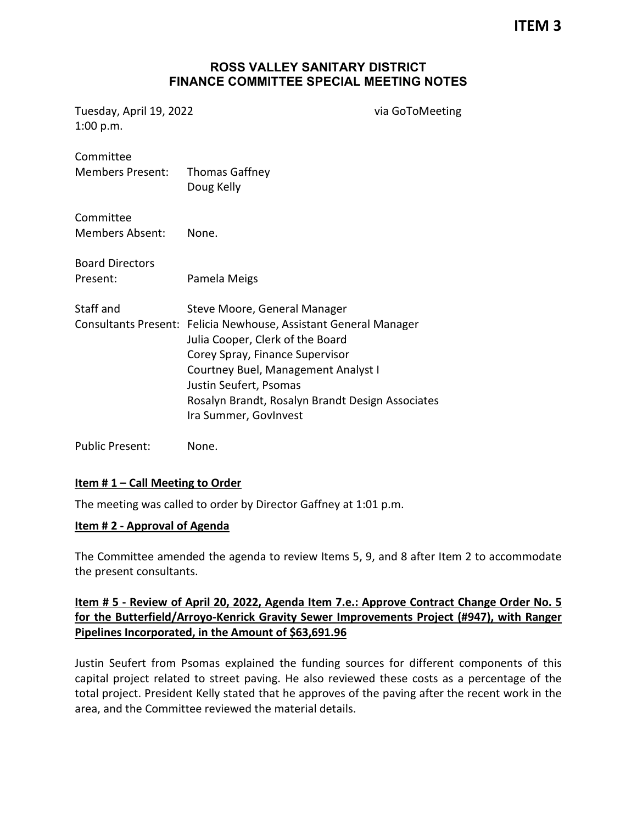**ITEM 3**

#### **ROSS VALLEY SANITARY DISTRICT FINANCE COMMITTEE SPECIAL MEETING NOTES**

Tuesday, April 19, 2022 via GoToMeeting 1:00 p.m.

| Committee<br><b>Members Present:</b> | <b>Thomas Gaffney</b><br>Doug Kelly                                                                                                                                                                                                                                                                                   |
|--------------------------------------|-----------------------------------------------------------------------------------------------------------------------------------------------------------------------------------------------------------------------------------------------------------------------------------------------------------------------|
| Committee<br><b>Members Absent:</b>  | None.                                                                                                                                                                                                                                                                                                                 |
| <b>Board Directors</b><br>Present:   | Pamela Meigs                                                                                                                                                                                                                                                                                                          |
| Staff and                            | Steve Moore, General Manager<br>Consultants Present: Felicia Newhouse, Assistant General Manager<br>Julia Cooper, Clerk of the Board<br>Corey Spray, Finance Supervisor<br>Courtney Buel, Management Analyst I<br>Justin Seufert, Psomas<br>Rosalyn Brandt, Rosalyn Brandt Design Associates<br>Ira Summer, GovInvest |

Public Present: None.

#### **Item # 1 – Call Meeting to Order**

The meeting was called to order by Director Gaffney at 1:01 p.m.

#### **Item # 2 - Approval of Agenda**

The Committee amended the agenda to review Items 5, 9, and 8 after Item 2 to accommodate the present consultants.

# **Item # 5 - Review of April 20, 2022, Agenda Item 7.e.: Approve Contract Change Order No. 5 for the Butterfield/Arroyo-Kenrick Gravity Sewer Improvements Project (#947), with Ranger Pipelines Incorporated, in the Amount of \$63,691.96**

Justin Seufert from Psomas explained the funding sources for different components of this capital project related to street paving. He also reviewed these costs as a percentage of the total project. President Kelly stated that he approves of the paving after the recent work in the area, and the Committee reviewed the material details.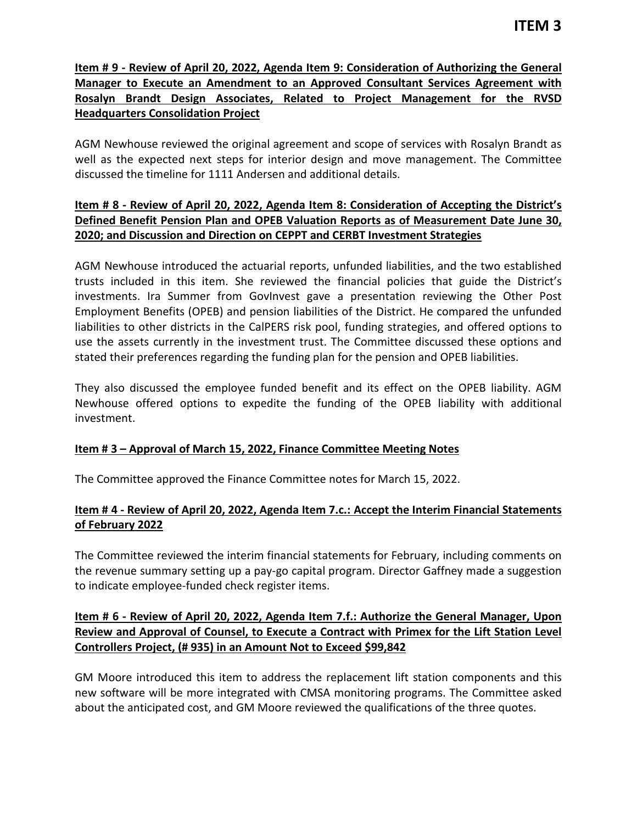# **Item # 9 - Review of April 20, 2022, Agenda Item 9: Consideration of Authorizing the General Manager to Execute an Amendment to an Approved Consultant Services Agreement with Rosalyn Brandt Design Associates, Related to Project Management for the RVSD Headquarters Consolidation Project**

AGM Newhouse reviewed the original agreement and scope of services with Rosalyn Brandt as well as the expected next steps for interior design and move management. The Committee discussed the timeline for 1111 Andersen and additional details.

# **Item # 8 - Review of April 20, 2022, Agenda Item 8: Consideration of Accepting the District's Defined Benefit Pension Plan and OPEB Valuation Reports as of Measurement Date June 30, 2020; and Discussion and Direction on CEPPT and CERBT Investment Strategies**

AGM Newhouse introduced the actuarial reports, unfunded liabilities, and the two established trusts included in this item. She reviewed the financial policies that guide the District's investments. Ira Summer from GovInvest gave a presentation reviewing the Other Post Employment Benefits (OPEB) and pension liabilities of the District. He compared the unfunded liabilities to other districts in the CalPERS risk pool, funding strategies, and offered options to use the assets currently in the investment trust. The Committee discussed these options and stated their preferences regarding the funding plan for the pension and OPEB liabilities.

They also discussed the employee funded benefit and its effect on the OPEB liability. AGM Newhouse offered options to expedite the funding of the OPEB liability with additional investment.

# **Item # 3 – Approval of March 15, 2022, Finance Committee Meeting Notes**

The Committee approved the Finance Committee notes for March 15, 2022.

# **Item # 4 - Review of April 20, 2022, Agenda Item 7.c.: Accept the Interim Financial Statements of February 2022**

The Committee reviewed the interim financial statements for February, including comments on the revenue summary setting up a pay-go capital program. Director Gaffney made a suggestion to indicate employee-funded check register items.

# **Item # 6 - Review of April 20, 2022, Agenda Item 7.f.: Authorize the General Manager, Upon Review and Approval of Counsel, to Execute a Contract with Primex for the Lift Station Level Controllers Project, (# 935) in an Amount Not to Exceed \$99,842**

GM Moore introduced this item to address the replacement lift station components and this new software will be more integrated with CMSA monitoring programs. The Committee asked about the anticipated cost, and GM Moore reviewed the qualifications of the three quotes.